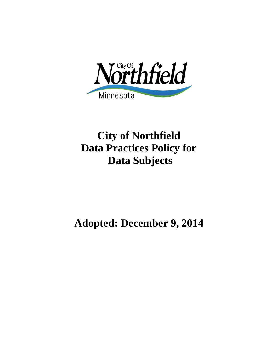

# **City of Northfield Data Practices Policy for Data Subjects**

# **Adopted: December 9, 2014**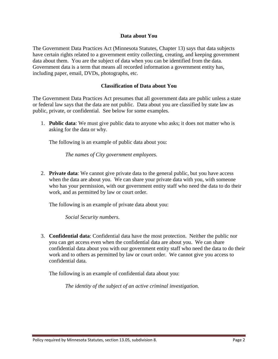## **Data about You**

The Government Data Practices Act (Minnesota Statutes, Chapter 13) says that data subjects have certain rights related to a government entity collecting, creating, and keeping government data about them. You are the subject of data when you can be identified from the data. Government data is a term that means all recorded information a government entity has, including paper, email, DVDs, photographs, etc.

## **Classification of Data about You**

The Government Data Practices Act presumes that all government data are public unless a state or federal law says that the data are not public. Data about you are classified by state law as public, private, or confidential. See below for some examples.

1. **Public data**: We must give public data to anyone who asks; it does not matter who is asking for the data or why.

The following is an example of public data about you:

*The names of City government employees*.

2. **Private data**: We cannot give private data to the general public, but you have access when the data are about you. We can share your private data with you, with someone who has your permission, with our government entity staff who need the data to do their work, and as permitted by law or court order.

The following is an example of private data about you:

*Social Security numbers*.

3. **Confidential data**: Confidential data have the most protection. Neither the public nor you can get access even when the confidential data are about you. We can share confidential data about you with our government entity staff who need the data to do their work and to others as permitted by law or court order. We cannot give you access to confidential data.

The following is an example of confidential data about you:

*The identity of the subject of an active criminal investigation.*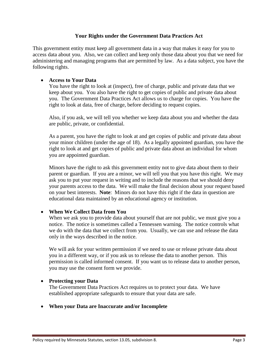## **Your Rights under the Government Data Practices Act**

This government entity must keep all government data in a way that makes it easy for you to access data about you. Also, we can collect and keep only those data about you that we need for administering and managing programs that are permitted by law. As a data subject, you have the following rights.

## • **Access to Your Data**

You have the right to look at (inspect), free of charge, public and private data that we keep about you. You also have the right to get copies of public and private data about you. The Government Data Practices Act allows us to charge for copies. You have the right to look at data, free of charge, before deciding to request copies.

Also, if you ask, we will tell you whether we keep data about you and whether the data are public, private, or confidential.

As a parent, you have the right to look at and get copies of public and private data about your minor children (under the age of 18). As a legally appointed guardian, you have the right to look at and get copies of public and private data about an individual for whom you are appointed guardian.

Minors have the right to ask this government entity not to give data about them to their parent or guardian. If you are a minor, we will tell you that you have this right. We may ask you to put your request in writing and to include the reasons that we should deny your parents access to the data. We will make the final decision about your request based on your best interests. **Note**: Minors do not have this right if the data in question are educational data maintained by an educational agency or institution.

# • **When We Collect Data from You**

When we ask you to provide data about yourself that are not public, we must give you a notice. The notice is sometimes called a Tennessen warning. The notice controls what we do with the data that we collect from you. Usually, we can use and release the data only in the ways described in the notice.

We will ask for your written permission if we need to use or release private data about you in a different way, or if you ask us to release the data to another person. This permission is called informed consent. If you want us to release data to another person, you may use the consent form we provide.

#### • **Protecting your Data**

The Government Data Practices Act requires us to protect your data. We have established appropriate safeguards to ensure that your data are safe.

#### • **When your Data are Inaccurate and/or Incomplete**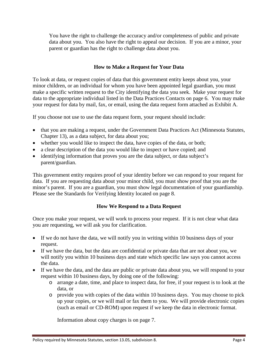You have the right to challenge the accuracy and/or completeness of public and private data about you. You also have the right to appeal our decision. If you are a minor, your parent or guardian has the right to challenge data about you.

# **How to Make a Request for Your Data**

To look at data, or request copies of data that this government entity keeps about you, your minor children, or an individual for whom you have been appointed legal guardian, you must make a specific written request to the City identifying the data you seek. Make your request for data to the appropriate individual listed in the Data Practices Contacts on page 6. You may make your request for data by mail, fax, or email, using the data request form attached as Exhibit A.

If you choose not use to use the data request form, your request should include:

- that you are making a request, under the Government Data Practices Act (Minnesota Statutes, Chapter 13), as a data subject, for data about you;
- whether you would like to inspect the data, have copies of the data, or both;
- a clear description of the data you would like to inspect or have copied; and
- identifying information that proves you are the data subject, or data subject's parent/guardian.

This government entity requires proof of your identity before we can respond to your request for data. If you are requesting data about your minor child, you must show proof that you are the minor's parent. If you are a guardian, you must show legal documentation of your guardianship. Please see the Standards for Verifying Identity located on page 8.

# **How We Respond to a Data Request**

Once you make your request, we will work to process your request. If it is not clear what data you are requesting, we will ask you for clarification.

- If we do not have the data, we will notify you in writing within 10 business days of your request.
- If we have the data, but the data are confidential or private data that are not about you, we will notify you within 10 business days and state which specific law says you cannot access the data.
- If we have the data, and the data are public or private data about you, we will respond to your request within 10 business days, by doing one of the following:
	- o arrange a date, time, and place to inspect data, for free, if your request is to look at the data, or
	- o provide you with copies of the data within 10 business days. You may choose to pick up your copies, or we will mail or fax them to you. We will provide electronic copies (such as email or CD-ROM) upon request if we keep the data in electronic format.

Information about copy charges is on page 7.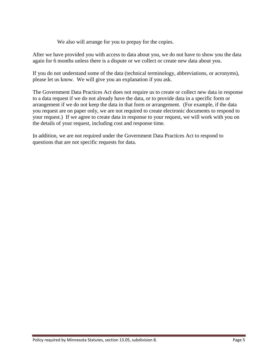We also will arrange for you to prepay for the copies.

After we have provided you with access to data about you, we do not have to show you the data again for 6 months unless there is a dispute or we collect or create new data about you.

If you do not understand some of the data (technical terminology, abbreviations, or acronyms), please let us know. We will give you an explanation if you ask.

The Government Data Practices Act does not require us to create or collect new data in response to a data request if we do not already have the data, or to provide data in a specific form or arrangement if we do not keep the data in that form or arrangement. (For example, if the data you request are on paper only, we are not required to create electronic documents to respond to your request.) If we agree to create data in response to your request, we will work with you on the details of your request, including cost and response time.

In addition, we are not required under the Government Data Practices Act to respond to questions that are not specific requests for data.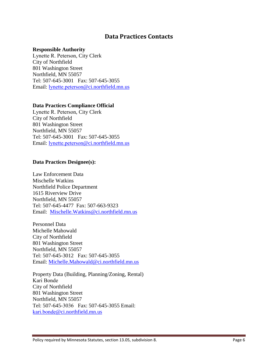# **Data Practices Contacts**

#### **Responsible Authority**

Lynette R. Peterson, City Clerk City of Northfield 801 Washington Street Northfield, MN 55057 Tel: 507-645-3001 Fax: 507-645-3055 Email: [lynette.peterson](mailto:Deb.Little@ci.northfield.mn.us)@ci.northfield.mn.us

## **Data Practices Compliance Official**

Lynette R. Peterson, City Clerk City of Northfield 801 Washington Street Northfield, MN 55057 Tel: 507-645-3001 Fax: 507-645-3055 Email: lynette.peterson[@ci.northfield.m](mailto:Deb.Little@ci.northfield.mn.us)n.us

## **Data Practices Designee(s):**

Law Enforcement Data Mischelle Watkins Northfield Police Department 1615 Riverview Drive Northfield, MN 55057 Tel: 507-645-4477 Fax: 507-663-9323 Email: [Mischelle.Watkins@ci.northfield.mn.us](mailto:Mischelle.Watkins@ci.northfield.mn.us)

Personnel Data Michelle Mahowald City of Northfield 801 Washington Street Northfield, MN 55057 Tel: 507-645-3012 Fax: 507-645-3055 Email: [Michelle.Mahowald@ci.northfield.mn.us](mailto:Michelle.Mahowald@ci.northfield.mn.us)

Property Data (Building, Planning/Zoning, Rental) Kari Bonde City of Northfield 801 Washington Street Northfield, MN 55057 Tel: 507-645-3036 Fax: 507-645-3055 Email: kari.bonde[@ci.northfield.mn.us](mailto:Mikayla.Fischer@ci.northfield.mn.us)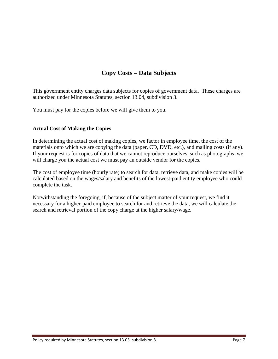# **Copy Costs – Data Subjects**

This government entity charges data subjects for copies of government data. These charges are authorized under Minnesota Statutes, section 13.04, subdivision 3.

You must pay for the copies before we will give them to you.

# **Actual Cost of Making the Copies**

In determining the actual cost of making copies, we factor in employee time, the cost of the materials onto which we are copying the data (paper, CD, DVD, etc.), and mailing costs (if any). If your request is for copies of data that we cannot reproduce ourselves, such as photographs, we will charge you the actual cost we must pay an outside vendor for the copies.

The cost of employee time (hourly rate) to search for data, retrieve data, and make copies will be calculated based on the wages/salary and benefits of the lowest-paid entity employee who could complete the task.

Notwithstanding the foregoing, if, because of the subject matter of your request, we find it necessary for a higher-paid employee to search for and retrieve the data, we will calculate the search and retrieval portion of the copy charge at the higher salary/wage.